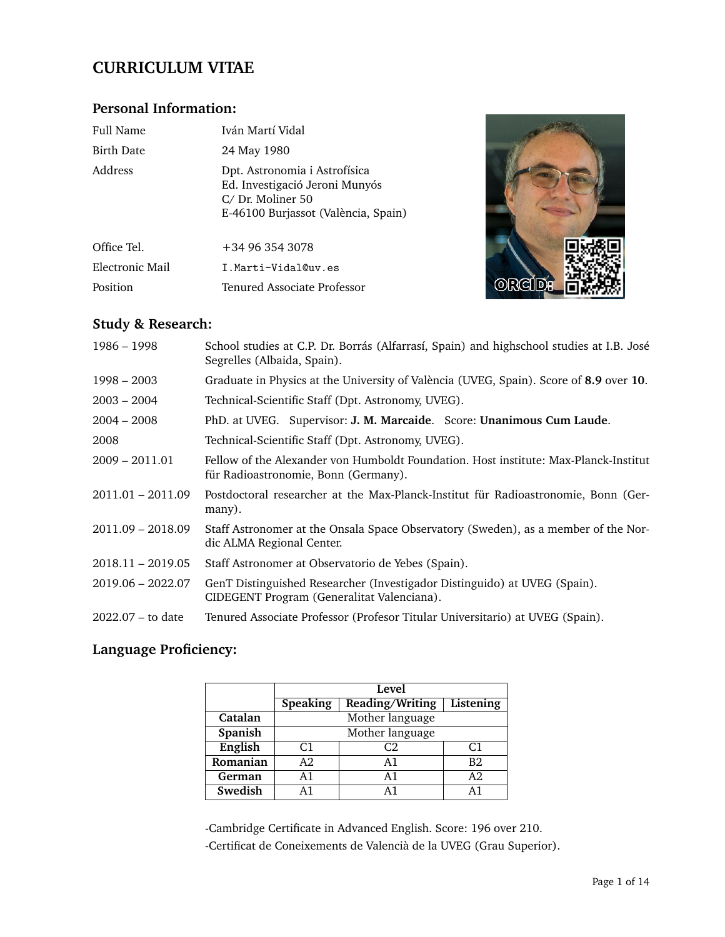# **CURRICULUM VITAE**

# **Personal Information:**

| Full Name                                                                                                                             | Iván Martí Vidal            |
|---------------------------------------------------------------------------------------------------------------------------------------|-----------------------------|
| <b>Birth Date</b>                                                                                                                     | 24 May 1980                 |
| Address<br>Dpt. Astronomia i Astrofísica<br>Ed. Investigació Jeroni Munyós<br>C/Dr. Moliner 50<br>E-46100 Burjassot (València, Spain) |                             |
| Office Tel.                                                                                                                           | $+34963543078$              |
| Electronic Mail                                                                                                                       | I.Marti-Vidal@uv.es         |
| Position                                                                                                                              | Tenured Associate Professor |



# **Study & Research:**

| $1986 - 1998$       | School studies at C.P. Dr. Borrás (Alfarrasí, Spain) and highschool studies at I.B. José<br>Segrelles (Albaida, Spain).      |
|---------------------|------------------------------------------------------------------------------------------------------------------------------|
| $1998 - 2003$       | Graduate in Physics at the University of València (UVEG, Spain). Score of 8.9 over 10.                                       |
| $2003 - 2004$       | Technical-Scientific Staff (Dpt. Astronomy, UVEG).                                                                           |
| $2004 - 2008$       | PhD. at UVEG. Supervisor: J. M. Marcaide. Score: Unanimous Cum Laude.                                                        |
| 2008                | Technical-Scientific Staff (Dpt. Astronomy, UVEG).                                                                           |
| $2009 - 2011.01$    | Fellow of the Alexander von Humboldt Foundation. Host institute: Max-Planck-Institut<br>für Radioastronomie, Bonn (Germany). |
| 2011.01 - 2011.09   | Postdoctoral researcher at the Max-Planck-Institut für Radioastronomie, Bonn (Ger-<br>many).                                 |
| 2011.09 - 2018.09   | Staff Astronomer at the Onsala Space Observatory (Sweden), as a member of the Nor-<br>dic ALMA Regional Center.              |
| $2018.11 - 2019.05$ | Staff Astronomer at Observatorio de Yebes (Spain).                                                                           |
| 2019.06 - 2022.07   | GenT Distinguished Researcher (Investigador Distinguido) at UVEG (Spain).<br>CIDEGENT Program (Generalitat Valenciana).      |
| $2022.07 -$ to date | Tenured Associate Professor (Profesor Titular Universitario) at UVEG (Spain).                                                |

# **Language Proficiency:**

|          |                 | Level           |                |
|----------|-----------------|-----------------|----------------|
|          | <b>Speaking</b> | Reading/Writing | Listening      |
| Catalan  |                 | Mother language |                |
| Spanish  |                 | Mother language |                |
| English  | C <sub>1</sub>  | C2              | C <sub>1</sub> |
| Romanian | A2.             | A1              | B2             |
| German   | A1              | A1              | A <sub>2</sub> |
| Swedish  |                 | Δ1              | $\Delta$ 1     |

-Cambridge Certificate in Advanced English. Score: 196 over 210.

-Certificat de Coneixements de Valencià de la UVEG (Grau Superior).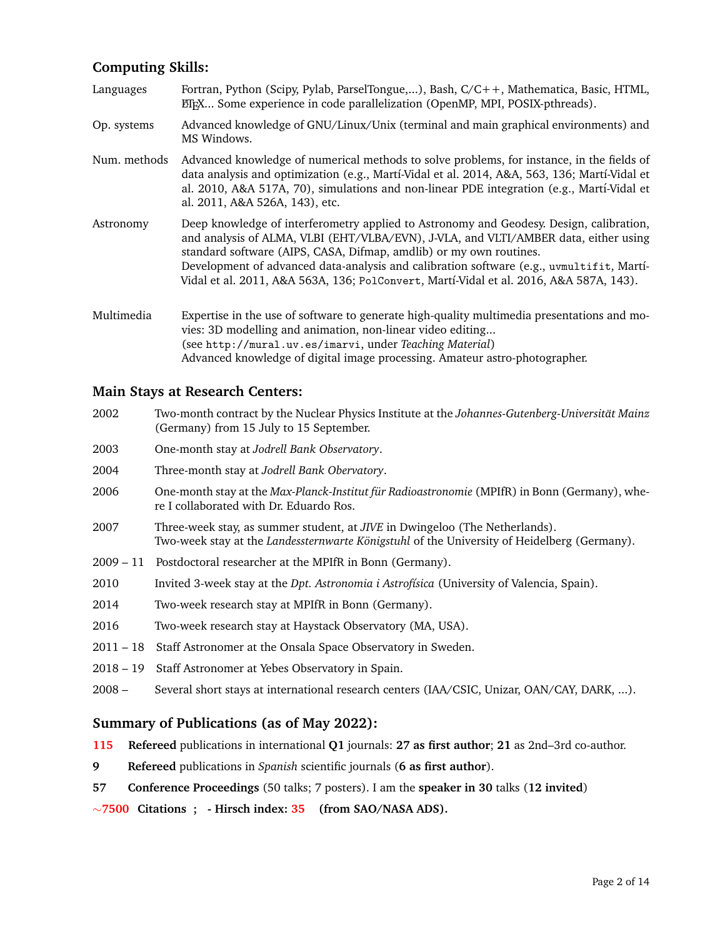# **Computing Skills:**

| Languages    | Fortran, Python (Scipy, Pylab, ParselTongue,), Bash, C/C++, Mathematica, Basic, HTML,<br>EIFX Some experience in code parallelization (OpenMP, MPI, POSIX-pthreads).                                                                                                                                                                                                                                                                       |
|--------------|--------------------------------------------------------------------------------------------------------------------------------------------------------------------------------------------------------------------------------------------------------------------------------------------------------------------------------------------------------------------------------------------------------------------------------------------|
| Op. systems  | Advanced knowledge of GNU/Linux/Unix (terminal and main graphical environments) and<br>MS Windows.                                                                                                                                                                                                                                                                                                                                         |
| Num. methods | Advanced knowledge of numerical methods to solve problems, for instance, in the fields of<br>data analysis and optimization (e.g., Martí-Vidal et al. 2014, A&A, 563, 136; Martí-Vidal et<br>al. 2010, A&A 517A, 70), simulations and non-linear PDE integration (e.g., Martí-Vidal et<br>al. 2011, A&A 526A, 143), etc.                                                                                                                   |
| Astronomy    | Deep knowledge of interferometry applied to Astronomy and Geodesy. Design, calibration,<br>and analysis of ALMA, VLBI (EHT/VLBA/EVN), J-VLA, and VLTI/AMBER data, either using<br>standard software (AIPS, CASA, Difmap, amdlib) or my own routines.<br>Development of advanced data-analysis and calibration software (e.g., uvmultifit, Martí-<br>Vidal et al. 2011, A&A 563A, 136; PolConvert, Martí-Vidal et al. 2016, A&A 587A, 143). |
| Multimedia   | Expertise in the use of software to generate high-quality multimedia presentations and mo-<br>vies: 3D modelling and animation, non-linear video editing<br>(see http://mural.uv.es/imarvi, under Teaching Material)<br>Advanced knowledge of digital image processing. Amateur astro-photographer.                                                                                                                                        |

## **Main Stays at Research Centers:**

| 2002 | Two-month contract by the Nuclear Physics Institute at the Johannes-Gutenberg-Universität Mainz |
|------|-------------------------------------------------------------------------------------------------|
|      | (Germany) from 15 July to 15 September.                                                         |
| 2003 | One-month stay at Jodrell Bank Observatory.                                                     |

- 2004 Three-month stay at *Jodrell Bank Obervatory*.
- 2006 One-month stay at the *Max-Planck-Institut für Radioastronomie* (MPIfR) in Bonn (Germany), where I collaborated with Dr. Eduardo Ros.
- 2007 Three-week stay, as summer student, at *JIVE* in Dwingeloo (The Netherlands). Two-week stay at the *Landessternwarte Königstuhl* of the University of Heidelberg (Germany).
- 2009 11 Postdoctoral researcher at the MPIfR in Bonn (Germany).
- 2010 Invited 3-week stay at the *Dpt. Astronomia i Astrof´ısica* (University of Valencia, Spain).
- 2014 Two-week research stay at MPIfR in Bonn (Germany).
- 2016 Two-week research stay at Haystack Observatory (MA, USA).
- 2011 18 Staff Astronomer at the Onsala Space Observatory in Sweden.
- 2018 19 Staff Astronomer at Yebes Observatory in Spain.
- 2008 Several short stays at international research centers (IAA/CSIC, Unizar, OAN/CAY, DARK, ...).

## **Summary of Publications (as of May 2022):**

- **115 Refereed** publications in international **Q1** journals: **27 as first author**; **21** as 2nd–3rd co-author.
- **9 Refereed** publications in *Spanish* scientific journals (**6 as first author**).
- **57 Conference Proceedings** (50 talks; 7 posters). I am the **speaker in 30** talks (**12 invited**)

∼**7500 Citations ; - Hirsch index: 35 (from SAO/NASA ADS).**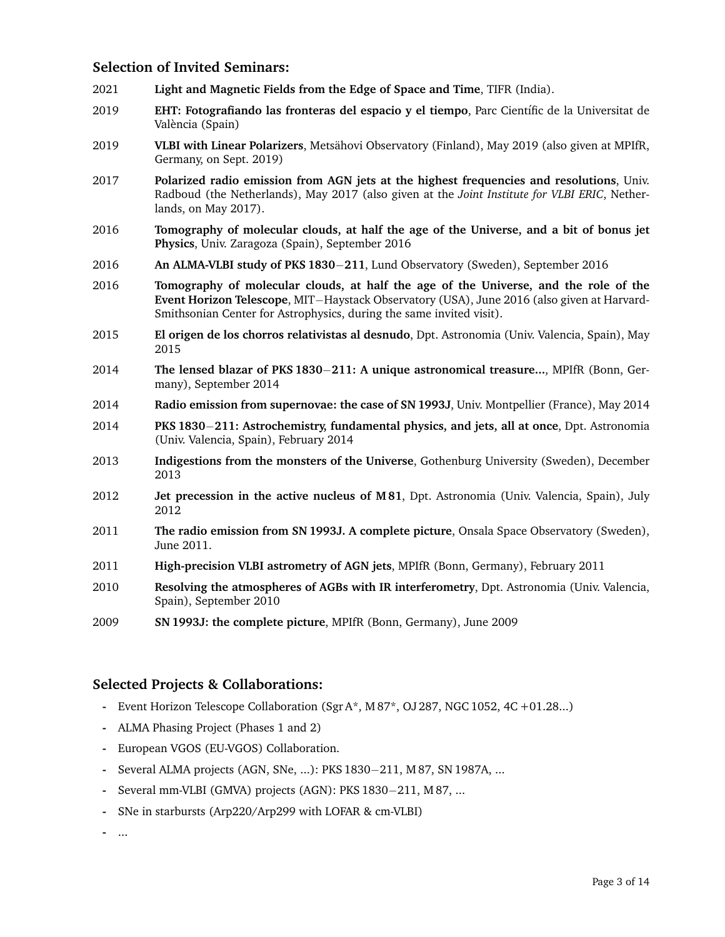## **Selection of Invited Seminars:**

- 2021 **Light and Magnetic Fields from the Edge of Space and Time**, TIFR (India).
- 2019 **EHT: Fotografiando las fronteras del espacio y el tiempo**, Parc Cient´ıfic de la Universitat de València (Spain)
- 2019 **VLBI with Linear Polarizers**, Metsahovi Observatory (Finland), May 2019 (also given at MPIfR, ¨ Germany, on Sept. 2019)
- 2017 **Polarized radio emission from AGN jets at the highest frequencies and resolutions**, Univ. Radboud (the Netherlands), May 2017 (also given at the *Joint Institute for VLBI ERIC*, Netherlands, on May 2017).
- 2016 **Tomography of molecular clouds, at half the age of the Universe, and a bit of bonus jet Physics**, Univ. Zaragoza (Spain), September 2016
- 2016 **An ALMA-VLBI study of PKS 1830**−**211**, Lund Observatory (Sweden), September 2016
- 2016 **Tomography of molecular clouds, at half the age of the Universe, and the role of the Event Horizon Telescope**, MIT−Haystack Observatory (USA), June 2016 (also given at Harvard-Smithsonian Center for Astrophysics, during the same invited visit).
- 2015 **El origen de los chorros relativistas al desnudo**, Dpt. Astronomia (Univ. Valencia, Spain), May 2015
- 2014 **The lensed blazar of PKS 1830**−**211: A unique astronomical treasure...**, MPIfR (Bonn, Germany), September 2014
- 2014 **Radio emission from supernovae: the case of SN 1993J**, Univ. Montpellier (France), May 2014
- 2014 **PKS 1830**−**211: Astrochemistry, fundamental physics, and jets, all at once**, Dpt. Astronomia (Univ. Valencia, Spain), February 2014
- 2013 **Indigestions from the monsters of the Universe**, Gothenburg University (Sweden), December 2013
- 2012 **Jet precession in the active nucleus of M 81**, Dpt. Astronomia (Univ. Valencia, Spain), July 2012
- 2011 **The radio emission from SN 1993J. A complete picture**, Onsala Space Observatory (Sweden), June 2011.
- 2011 **High-precision VLBI astrometry of AGN jets**, MPIfR (Bonn, Germany), February 2011
- 2010 **Resolving the atmospheres of AGBs with IR interferometry**, Dpt. Astronomia (Univ. Valencia, Spain), September 2010
- 2009 **SN 1993J: the complete picture**, MPIfR (Bonn, Germany), June 2009

## **Selected Projects & Collaborations:**

- **-** Event Horizon Telescope Collaboration (Sgr A\*, M 87\*, OJ 287, NGC 1052, 4C +01.28...)
- **-** ALMA Phasing Project (Phases 1 and 2)
- **-** European VGOS (EU-VGOS) Collaboration.
- **-** Several ALMA projects (AGN, SNe, ...): PKS 1830−211, M 87, SN 1987A, ...
- **-** Several mm-VLBI (GMVA) projects (AGN): PKS 1830−211, M 87, ...
- **-** SNe in starbursts (Arp220/Arp299 with LOFAR & cm-VLBI)

**-** ...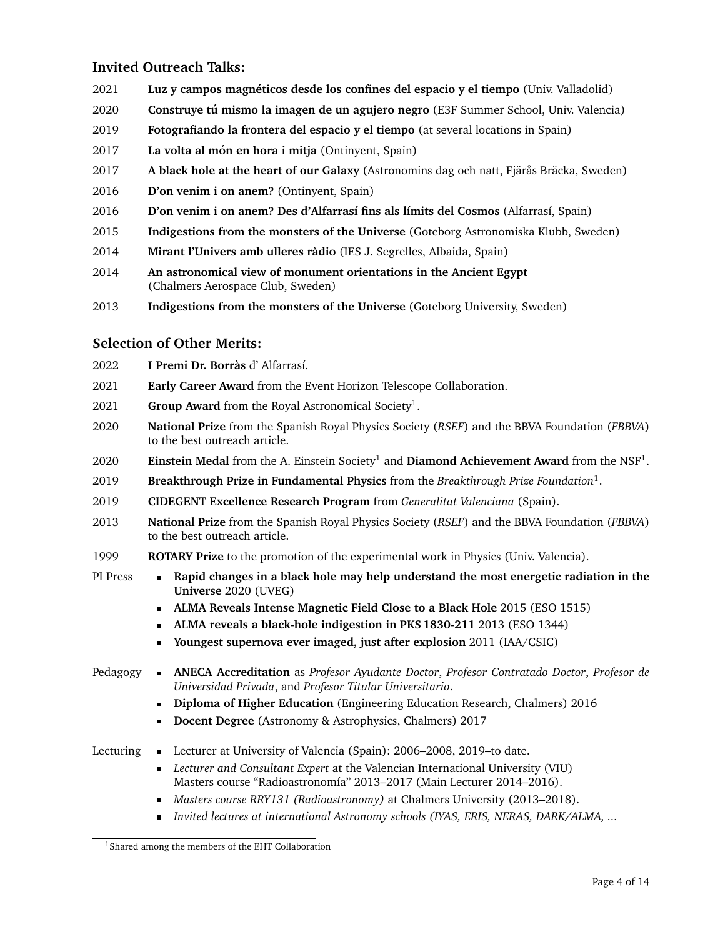# **Invited Outreach Talks:**

- 2021 **Luz y campos magneticos desde los confines del espacio y el tiempo ´** (Univ. Valladolid)
- 2020 **Construye tu mismo la imagen de un agujero negro ´** (E3F Summer School, Univ. Valencia)
- 2019 **Fotografiando la frontera del espacio y el tiempo** (at several locations in Spain)
- 2017 La volta al món en hora i mitja (Ontinyent, Spain)
- **2017 A black hole at the heart of our Galaxy** (Astronomins dag och natt, Fjärås Bräcka, Sweden)
- 2016 **D'on venim i on anem?** (Ontinyent, Spain)
- 2016 **D'on venim i on anem? Des d'Alfarrasí fins als límits del Cosmos** (Alfarrasí, Spain)
- 2015 **Indigestions from the monsters of the Universe** (Goteborg Astronomiska Klubb, Sweden)
- 2014 **Mirant l'Univers amb ulleres radio `** (IES J. Segrelles, Albaida, Spain)
- 2014 **An astronomical view of monument orientations in the Ancient Egypt** (Chalmers Aerospace Club, Sweden)
- 2013 **Indigestions from the monsters of the Universe** (Goteborg University, Sweden)

# **Selection of Other Merits:**

- 2022 **I Premi Dr. Borras`** d' Alfarras´ı.
- 2021 **Early Career Award** from the Event Horizon Telescope Collaboration.
- 2021 **Group Award** from the Royal Astronomical Society<sup>1</sup>.
- 2020 **National Prize** from the Spanish Royal Physics Society (*RSEF*) and the BBVA Foundation (*FBBVA*) to the best outreach article.
- 2020 **Einstein Medal** from the A. Einstein Society<sup>1</sup> and **Diamond Achievement Award** from the NSF<sup>1</sup>.
- 2019 **Breakthrough Prize in Fundamental Physics** from the *Breakthrough Prize Foundation*<sup>1</sup> .
- 2019 **CIDEGENT Excellence Research Program** from *Generalitat Valenciana* (Spain).
- 2013 **National Prize** from the Spanish Royal Physics Society (*RSEF*) and the BBVA Foundation (*FBBVA*) to the best outreach article.
- 1999 **ROTARY Prize** to the promotion of the experimental work in Physics (Univ. Valencia).
- PI Press **Rapid changes in a black hole may help understand the most energetic radiation in the Universe** 2020 (UVEG)
	- **ALMA Reveals Intense Magnetic Field Close to a Black Hole** 2015 (ESO 1515)
	- **ALMA reveals a black-hole indigestion in PKS 1830-211** 2013 (ESO 1344)
	- **Youngest supernova ever imaged, just after explosion** 2011 (IAA/CSIC)
- Pedagogy **ANECA Accreditation** as *Profesor Ayudante Doctor*, *Profesor Contratado Doctor*, *Profesor de Universidad Privada*, and *Profesor Titular Universitario*.
	- **Diploma of Higher Education** (Engineering Education Research, Chalmers) 2016
	- **Docent Degree** (Astronomy & Astrophysics, Chalmers) 2017
- Lecturing Lecturer at University of Valencia (Spain): 2006–2008, 2019–to date.
	- *Lecturer and Consultant Expert* at the Valencian International University (VIU) Masters course "Radioastronomía" 2013–2017 (Main Lecturer 2014–2016).
	- *Masters course RRY131 (Radioastronomy)* at Chalmers University (2013–2018).
	- *Invited lectures at international Astronomy schools (IYAS, ERIS, NERAS, DARK/ALMA, ...*

<sup>&</sup>lt;sup>1</sup>Shared among the members of the EHT Collaboration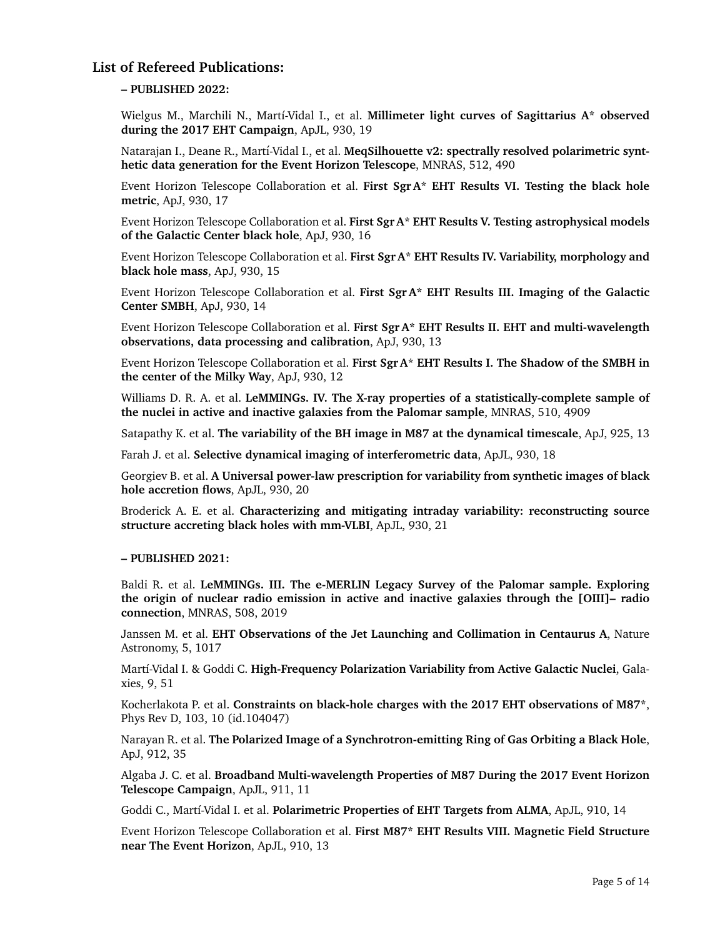# **List of Refereed Publications:**

### **– PUBLISHED 2022:**

Wielgus M., Marchili N., Martí-Vidal I., et al. **Millimeter light curves of Sagittarius A\* observed during the 2017 EHT Campaign**, ApJL, 930, 19

Natarajan I., Deane R., Martí-Vidal I., et al. MeqSilhouette v2: spectrally resolved polarimetric synt**hetic data generation for the Event Horizon Telescope**, MNRAS, 512, 490

Event Horizon Telescope Collaboration et al. **First Sgr A\* EHT Results VI. Testing the black hole metric**, ApJ, 930, 17

Event Horizon Telescope Collaboration et al. **First Sgr A\* EHT Results V. Testing astrophysical models of the Galactic Center black hole**, ApJ, 930, 16

Event Horizon Telescope Collaboration et al. **First Sgr A\* EHT Results IV. Variability, morphology and black hole mass**, ApJ, 930, 15

Event Horizon Telescope Collaboration et al. **First Sgr A\* EHT Results III. Imaging of the Galactic Center SMBH**, ApJ, 930, 14

Event Horizon Telescope Collaboration et al. **First Sgr A\* EHT Results II. EHT and multi-wavelength observations, data processing and calibration**, ApJ, 930, 13

Event Horizon Telescope Collaboration et al. **First Sgr A\* EHT Results I. The Shadow of the SMBH in the center of the Milky Way**, ApJ, 930, 12

Williams D. R. A. et al. **LeMMINGs. IV. The X-ray properties of a statistically-complete sample of the nuclei in active and inactive galaxies from the Palomar sample**, MNRAS, 510, 4909

Satapathy K. et al. **The variability of the BH image in M87 at the dynamical timescale**, ApJ, 925, 13

Farah J. et al. **Selective dynamical imaging of interferometric data**, ApJL, 930, 18

Georgiev B. et al. **A Universal power-law prescription for variability from synthetic images of black hole accretion flows**, ApJL, 930, 20

Broderick A. E. et al. **Characterizing and mitigating intraday variability: reconstructing source structure accreting black holes with mm-VLBI**, ApJL, 930, 21

#### **– PUBLISHED 2021:**

Baldi R. et al. **LeMMINGs. III. The e-MERLIN Legacy Survey of the Palomar sample. Exploring the origin of nuclear radio emission in active and inactive galaxies through the [OIII]– radio connection**, MNRAS, 508, 2019

Janssen M. et al. **EHT Observations of the Jet Launching and Collimation in Centaurus A**, Nature Astronomy, 5, 1017

Martí-Vidal I. & Goddi C. High-Frequency Polarization Variability from Active Galactic Nuclei, Galaxies, 9, 51

Kocherlakota P. et al. **Constraints on black-hole charges with the 2017 EHT observations of M87\***, Phys Rev D, 103, 10 (id.104047)

Narayan R. et al. **The Polarized Image of a Synchrotron-emitting Ring of Gas Orbiting a Black Hole**, ApJ, 912, 35

Algaba J. C. et al. **Broadband Multi-wavelength Properties of M87 During the 2017 Event Horizon Telescope Campaign**, ApJL, 911, 11

Goddi C., Martí-Vidal I. et al. Polarimetric Properties of EHT Targets from ALMA, ApJL, 910, 14

Event Horizon Telescope Collaboration et al. **First M87\* EHT Results VIII. Magnetic Field Structure near The Event Horizon**, ApJL, 910, 13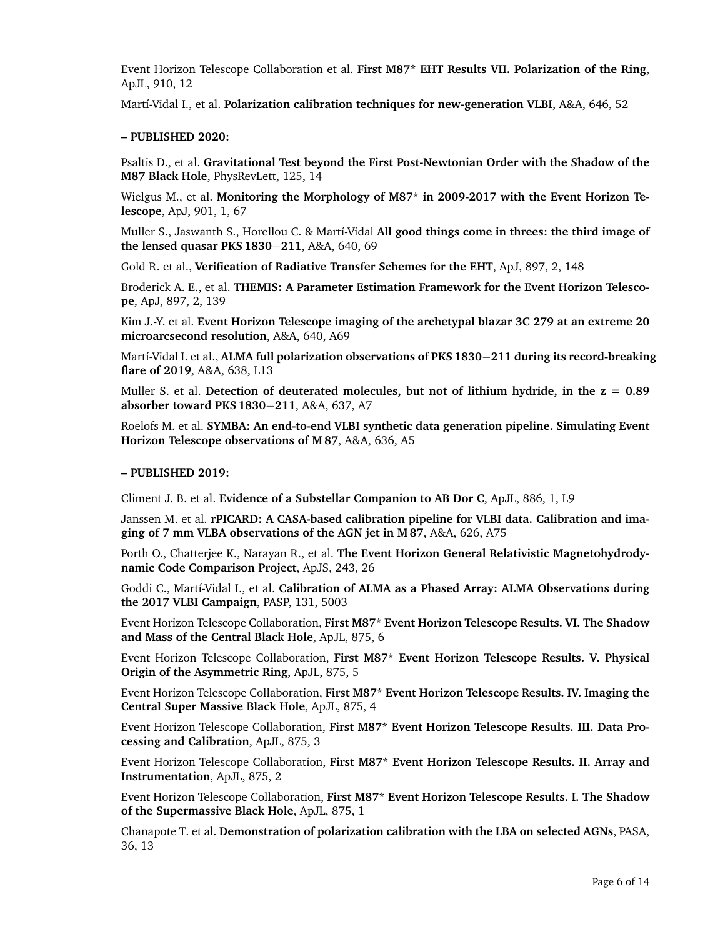Event Horizon Telescope Collaboration et al. **First M87\* EHT Results VII. Polarization of the Ring**, ApJL, 910, 12

Martí-Vidal I., et al. Polarization calibration techniques for new-generation VLBI, A&A, 646, 52

### **– PUBLISHED 2020:**

Psaltis D., et al. **Gravitational Test beyond the First Post-Newtonian Order with the Shadow of the M87 Black Hole**, PhysRevLett, 125, 14

Wielgus M., et al. **Monitoring the Morphology of M87\* in 2009-2017 with the Event Horizon Telescope**, ApJ, 901, 1, 67

Muller S., Jaswanth S., Horellou C. & Mart´ı-Vidal **All good things come in threes: the third image of the lensed quasar PKS 1830**−**211**, A&A, 640, 69

Gold R. et al., **Verification of Radiative Transfer Schemes for the EHT**, ApJ, 897, 2, 148

Broderick A. E., et al. **THEMIS: A Parameter Estimation Framework for the Event Horizon Telescope**, ApJ, 897, 2, 139

Kim J.-Y. et al. **Event Horizon Telescope imaging of the archetypal blazar 3C 279 at an extreme 20 microarcsecond resolution**, A&A, 640, A69

Mart´ı-Vidal I. et al., **ALMA full polarization observations of PKS 1830**−**211 during its record-breaking flare of 2019**, A&A, 638, L13

Muller S. et al. **Detection of deuterated molecules, but not of lithium hydride, in the z = 0.89 absorber toward PKS 1830**−**211**, A&A, 637, A7

Roelofs M. et al. **SYMBA: An end-to-end VLBI synthetic data generation pipeline. Simulating Event Horizon Telescope observations of M 87**, A&A, 636, A5

#### **– PUBLISHED 2019:**

Climent J. B. et al. **Evidence of a Substellar Companion to AB Dor C**, ApJL, 886, 1, L9

Janssen M. et al. **rPICARD: A CASA-based calibration pipeline for VLBI data. Calibration and imaging of 7 mm VLBA observations of the AGN jet in M 87**, A&A, 626, A75

Porth O., Chatterjee K., Narayan R., et al. **The Event Horizon General Relativistic Magnetohydrodynamic Code Comparison Project**, ApJS, 243, 26

Goddi C., Martí-Vidal I., et al. **Calibration of ALMA as a Phased Array: ALMA Observations during the 2017 VLBI Campaign**, PASP, 131, 5003

Event Horizon Telescope Collaboration, **First M87\* Event Horizon Telescope Results. VI. The Shadow and Mass of the Central Black Hole**, ApJL, 875, 6

Event Horizon Telescope Collaboration, **First M87\* Event Horizon Telescope Results. V. Physical Origin of the Asymmetric Ring**, ApJL, 875, 5

Event Horizon Telescope Collaboration, **First M87\* Event Horizon Telescope Results. IV. Imaging the Central Super Massive Black Hole**, ApJL, 875, 4

Event Horizon Telescope Collaboration, **First M87\* Event Horizon Telescope Results. III. Data Processing and Calibration**, ApJL, 875, 3

Event Horizon Telescope Collaboration, **First M87\* Event Horizon Telescope Results. II. Array and Instrumentation**, ApJL, 875, 2

Event Horizon Telescope Collaboration, **First M87\* Event Horizon Telescope Results. I. The Shadow of the Supermassive Black Hole**, ApJL, 875, 1

Chanapote T. et al. **Demonstration of polarization calibration with the LBA on selected AGNs**, PASA, 36, 13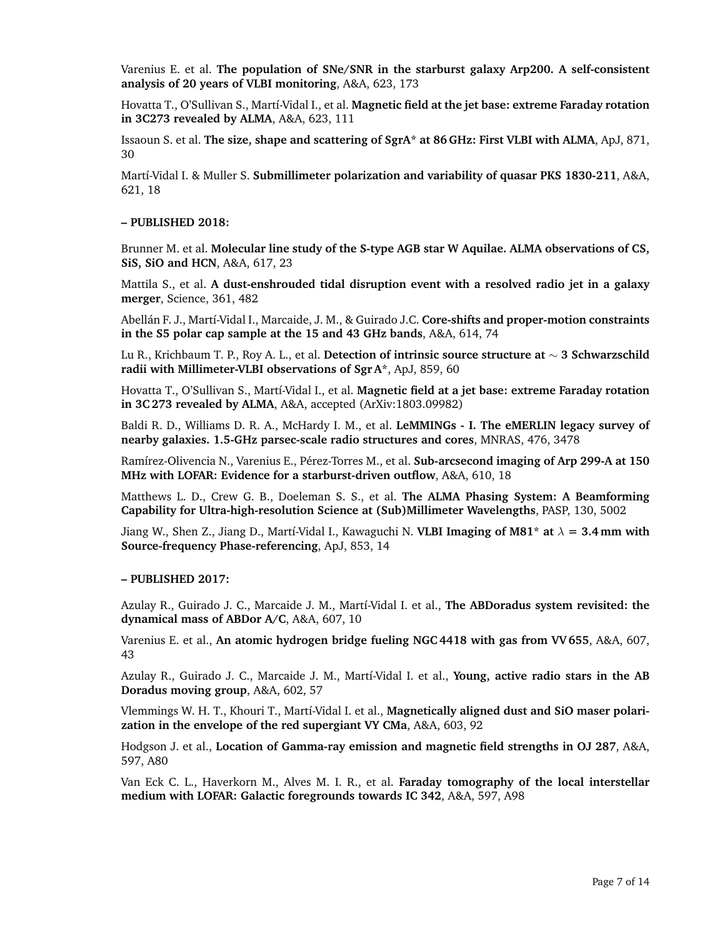Varenius E. et al. **The population of SNe/SNR in the starburst galaxy Arp200. A self-consistent analysis of 20 years of VLBI monitoring**, A&A, 623, 173

Hovatta T., O'Sullivan S., Martí-Vidal I., et al. **Magnetic field at the jet base: extreme Faraday rotation in 3C273 revealed by ALMA**, A&A, 623, 111

Issaoun S. et al. **The size, shape and scattering of SgrA\* at 86 GHz: First VLBI with ALMA**, ApJ, 871, 30

Martí-Vidal I. & Muller S. Submillimeter polarization and variability of quasar PKS 1830-211, A&A, 621, 18

#### **– PUBLISHED 2018:**

Brunner M. et al. **Molecular line study of the S-type AGB star W Aquilae. ALMA observations of CS, SiS, SiO and HCN**, A&A, 617, 23

Mattila S., et al. **A dust-enshrouded tidal disruption event with a resolved radio jet in a galaxy merger**, Science, 361, 482

Abellán F. J., Martí-Vidal I., Marcaide, J. M., & Guirado J.C. **Core-shifts and proper-motion constraints in the S5 polar cap sample at the 15 and 43 GHz bands**, A&A, 614, 74

Lu R., Krichbaum T. P., Roy A. L., et al. **Detection of intrinsic source structure at** ∼ **3 Schwarzschild radii with Millimeter-VLBI observations of Sgr A\***, ApJ, 859, 60

Hovatta T., O'Sullivan S., Mart´ı-Vidal I., et al. **Magnetic field at a jet base: extreme Faraday rotation in 3C 273 revealed by ALMA**, A&A, accepted (ArXiv:1803.09982)

Baldi R. D., Williams D. R. A., McHardy I. M., et al. **LeMMINGs - I. The eMERLIN legacy survey of nearby galaxies. 1.5-GHz parsec-scale radio structures and cores**, MNRAS, 476, 3478

Ramírez-Olivencia N., Varenius E., Pérez-Torres M., et al. Sub-arcsecond imaging of Arp 299-A at 150 **MHz with LOFAR: Evidence for a starburst-driven outflow**, A&A, 610, 18

Matthews L. D., Crew G. B., Doeleman S. S., et al. **The ALMA Phasing System: A Beamforming Capability for Ultra-high-resolution Science at (Sub)Millimeter Wavelengths**, PASP, 130, 5002

Jiang W., Shen Z., Jiang D., Martí-Vidal I., Kawaguchi N. **VLBI Imaging of M81<sup>\*</sup> at**  $\lambda = 3.4$  mm with **Source-frequency Phase-referencing**, ApJ, 853, 14

#### **– PUBLISHED 2017:**

Azulay R., Guirado J. C., Marcaide J. M., Mart´ı-Vidal I. et al., **The ABDoradus system revisited: the dynamical mass of ABDor A/C**, A&A, 607, 10

Varenius E. et al., **An atomic hydrogen bridge fueling NGC 4418 with gas from VV 655**, A&A, 607, 43

Azulay R., Guirado J. C., Marcaide J. M., Martí-Vidal I. et al., Young, active radio stars in the AB **Doradus moving group**, A&A, 602, 57

Vlemmings W. H. T., Khouri T., Martí-Vidal I. et al., **Magnetically aligned dust and SiO maser polarization in the envelope of the red supergiant VY CMa**, A&A, 603, 92

Hodgson J. et al., **Location of Gamma-ray emission and magnetic field strengths in OJ 287**, A&A, 597, A80

Van Eck C. L., Haverkorn M., Alves M. I. R., et al. **Faraday tomography of the local interstellar medium with LOFAR: Galactic foregrounds towards IC 342**, A&A, 597, A98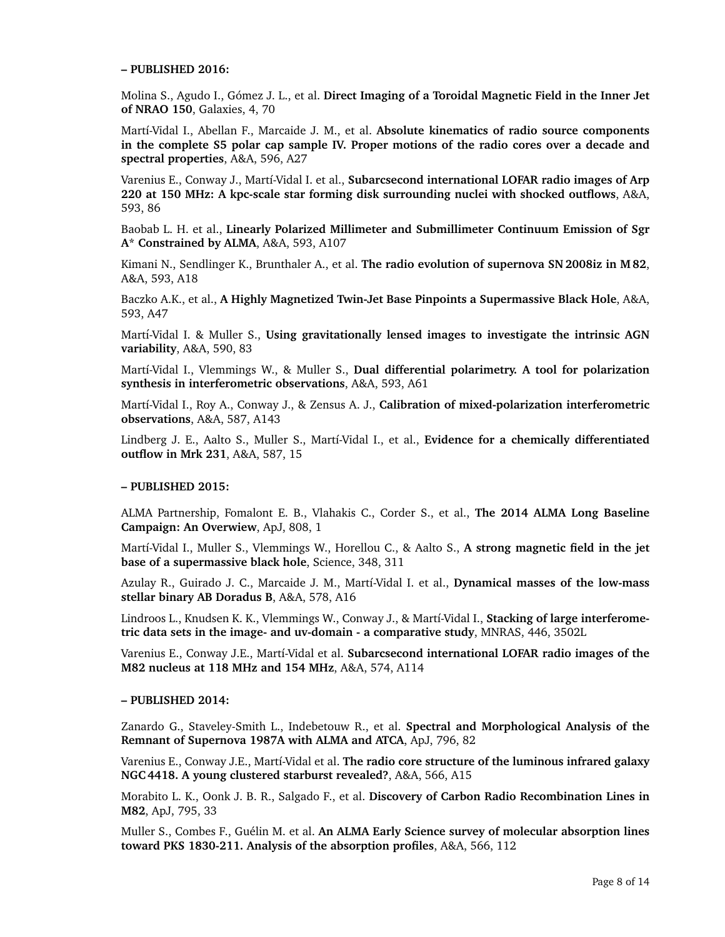#### **– PUBLISHED 2016:**

Molina S., Agudo I., Gómez J. L., et al. Direct Imaging of a Toroidal Magnetic Field in the Inner Jet **of NRAO 150**, Galaxies, 4, 70

Martí-Vidal I., Abellan F., Marcaide J. M., et al. Absolute kinematics of radio source components **in the complete S5 polar cap sample IV. Proper motions of the radio cores over a decade and spectral properties**, A&A, 596, A27

Varenius E., Conway J., Martí-Vidal I. et al., **Subarcsecond international LOFAR radio images of Arp 220 at 150 MHz: A kpc-scale star forming disk surrounding nuclei with shocked outflows**, A&A, 593, 86

Baobab L. H. et al., **Linearly Polarized Millimeter and Submillimeter Continuum Emission of Sgr A\* Constrained by ALMA**, A&A, 593, A107

Kimani N., Sendlinger K., Brunthaler A., et al. **The radio evolution of supernova SN 2008iz in M 82**, A&A, 593, A18

Baczko A.K., et al., **A Highly Magnetized Twin-Jet Base Pinpoints a Supermassive Black Hole**, A&A, 593, A47

Martí-Vidal I. & Muller S., Using gravitationally lensed images to investigate the intrinsic AGN **variability**, A&A, 590, 83

Martí-Vidal I., Vlemmings W., & Muller S., Dual differential polarimetry. A tool for polarization **synthesis in interferometric observations**, A&A, 593, A61

Mart´ı-Vidal I., Roy A., Conway J., & Zensus A. J., **Calibration of mixed-polarization interferometric observations**, A&A, 587, A143

Lindberg J. E., Aalto S., Muller S., Martí-Vidal I., et al., **Evidence for a chemically differentiated outflow in Mrk 231**, A&A, 587, 15

#### **– PUBLISHED 2015:**

ALMA Partnership, Fomalont E. B., Vlahakis C., Corder S., et al., **The 2014 ALMA Long Baseline Campaign: An Overwiew**, ApJ, 808, 1

Martí-Vidal I., Muller S., Vlemmings W., Horellou C., & Aalto S., A strong magnetic field in the jet **base of a supermassive black hole**, Science, 348, 311

Azulay R., Guirado J. C., Marcaide J. M., Mart´ı-Vidal I. et al., **Dynamical masses of the low-mass stellar binary AB Doradus B**, A&A, 578, A16

Lindroos L., Knudsen K. K., Vlemmings W., Conway J., & Mart´ı-Vidal I., **Stacking of large interferometric data sets in the image- and uv-domain - a comparative study**, MNRAS, 446, 3502L

Varenius E., Conway J.E., Mart´ı-Vidal et al. **Subarcsecond international LOFAR radio images of the M82 nucleus at 118 MHz and 154 MHz**, A&A, 574, A114

#### **– PUBLISHED 2014:**

Zanardo G., Staveley-Smith L., Indebetouw R., et al. **Spectral and Morphological Analysis of the Remnant of Supernova 1987A with ALMA and ATCA**, ApJ, 796, 82

Varenius E., Conway J.E., Martí-Vidal et al. **The radio core structure of the luminous infrared galaxy NGC 4418. A young clustered starburst revealed?**, A&A, 566, A15

Morabito L. K., Oonk J. B. R., Salgado F., et al. **Discovery of Carbon Radio Recombination Lines in M82**, ApJ, 795, 33

Muller S., Combes F., Guélin M. et al. An ALMA Early Science survey of molecular absorption lines **toward PKS 1830-211. Analysis of the absorption profiles**, A&A, 566, 112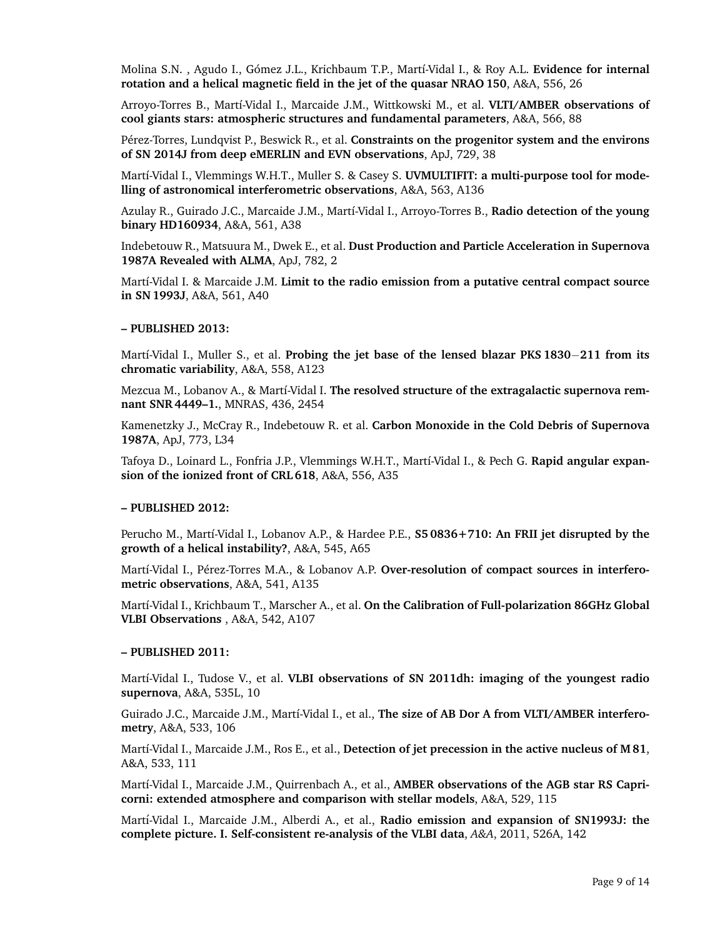Molina S.N., Agudo I., Gómez J.L., Krichbaum T.P., Martí-Vidal I., & Roy A.L. Evidence for internal **rotation and a helical magnetic field in the jet of the quasar NRAO 150**, A&A, 556, 26

Arroyo-Torres B., Martí-Vidal I., Marcaide J.M., Wittkowski M., et al. VLTI/AMBER observations of **cool giants stars: atmospheric structures and fundamental parameters**, A&A, 566, 88

P´erez-Torres, Lundqvist P., Beswick R., et al. **Constraints on the progenitor system and the environs of SN 2014J from deep eMERLIN and EVN observations**, ApJ, 729, 38

Martí-Vidal I., Vlemmings W.H.T., Muller S. & Casey S. UVMULTIFIT: a multi-purpose tool for mode**lling of astronomical interferometric observations**, A&A, 563, A136

Azulay R., Guirado J.C., Marcaide J.M., Mart´ı-Vidal I., Arroyo-Torres B., **Radio detection of the young binary HD160934**, A&A, 561, A38

Indebetouw R., Matsuura M., Dwek E., et al. **Dust Production and Particle Acceleration in Supernova 1987A Revealed with ALMA**, ApJ, 782, 2

Martí-Vidal I. & Marcaide J.M. Limit to the radio emission from a putative central compact source **in SN 1993J**, A&A, 561, A40

#### **– PUBLISHED 2013:**

Mart´ı-Vidal I., Muller S., et al. **Probing the jet base of the lensed blazar PKS 1830**−**211 from its chromatic variability**, A&A, 558, A123

Mezcua M., Lobanov A., & Martí-Vidal I. The resolved structure of the extragalactic supernova rem**nant SNR 4449–1.**, MNRAS, 436, 2454

Kamenetzky J., McCray R., Indebetouw R. et al. **Carbon Monoxide in the Cold Debris of Supernova 1987A**, ApJ, 773, L34

Tafoya D., Loinard L., Fonfria J.P., Vlemmings W.H.T., Martí-Vidal I., & Pech G. **Rapid angular expansion of the ionized front of CRL 618**, A&A, 556, A35

#### **– PUBLISHED 2012:**

Perucho M., Martí-Vidal I., Lobanov A.P., & Hardee P.E., **S5 0836+710: An FRII jet disrupted by the growth of a helical instability?**, A&A, 545, A65

Martí-Vidal I., Pérez-Torres M.A., & Lobanov A.P. **Over-resolution of compact sources in interferometric observations**, A&A, 541, A135

Martí-Vidal I., Krichbaum T., Marscher A., et al. On the Calibration of Full-polarization 86GHz Global **VLBI Observations** , A&A, 542, A107

#### **– PUBLISHED 2011:**

Martí-Vidal I., Tudose V., et al. **VLBI observations of SN 2011dh: imaging of the youngest radio supernova**, A&A, 535L, 10

Guirado J.C., Marcaide J.M., Martí-Vidal I., et al., The size of AB Dor A from VLTI/AMBER interfero**metry**, A&A, 533, 106

Martí-Vidal I., Marcaide J.M., Ros E., et al., Detection of jet precession in the active nucleus of M 81, A&A, 533, 111

Martí-Vidal I., Marcaide J.M., Quirrenbach A., et al., **AMBER observations of the AGB star RS Capricorni: extended atmosphere and comparison with stellar models**, A&A, 529, 115

Martí-Vidal I., Marcaide J.M., Alberdi A., et al., Radio emission and expansion of SN1993J: the **complete picture. I. Self-consistent re-analysis of the VLBI data**, *A&A*, 2011, 526A, 142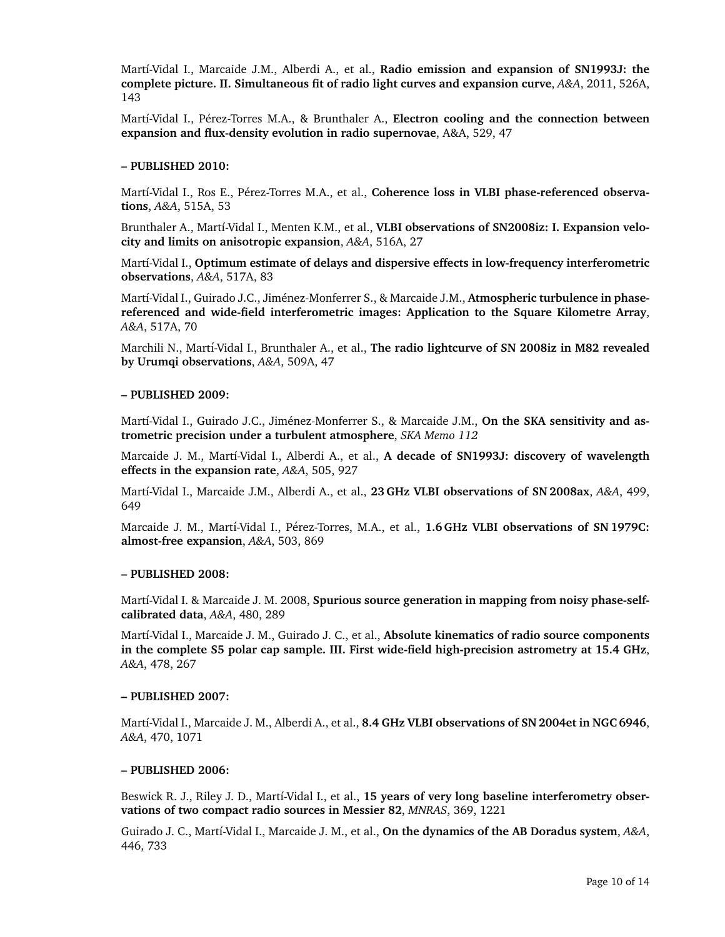Martí-Vidal I., Marcaide J.M., Alberdi A., et al., Radio emission and expansion of SN1993J: the **complete picture. II. Simultaneous fit of radio light curves and expansion curve**, *A&A*, 2011, 526A, 143

Martí-Vidal I., Pérez-Torres M.A., & Brunthaler A., Electron cooling and the connection between **expansion and flux-density evolution in radio supernovae**, A&A, 529, 47

#### **– PUBLISHED 2010:**

Martí-Vidal I., Ros E., Pérez-Torres M.A., et al., **Coherence loss in VLBI phase-referenced observations**, *A&A*, 515A, 53

Brunthaler A., Martí-Vidal I., Menten K.M., et al., VLBI observations of SN2008iz: I. Expansion velo**city and limits on anisotropic expansion**, *A&A*, 516A, 27

Martí-Vidal I., **Optimum estimate of delays and dispersive effects in low-frequency interferometric observations**, *A&A*, 517A, 83

Martí-Vidal I., Guirado J.C., Jiménez-Monferrer S., & Marcaide J.M., Atmospheric turbulence in phase**referenced and wide-field interferometric images: Application to the Square Kilometre Array**, *A&A*, 517A, 70

Marchili N., Martí-Vidal I., Brunthaler A., et al., **The radio lightcurve of SN 2008iz in M82 revealed by Urumqi observations**, *A&A*, 509A, 47

#### **– PUBLISHED 2009:**

Martí-Vidal I., Guirado J.C., Jiménez-Monferrer S., & Marcaide J.M., **On the SKA sensitivity and astrometric precision under a turbulent atmosphere**, *SKA Memo 112*

Marcaide J. M., Martí-Vidal I., Alberdi A., et al., A decade of SN1993J: discovery of wavelength **effects in the expansion rate**, *A&A*, 505, 927

Martí-Vidal I., Marcaide J.M., Alberdi A., et al., 23 GHz VLBI observations of SN 2008ax, A&A, 499, 649

Marcaide J. M., Martí-Vidal I., Pérez-Torres, M.A., et al., 1.6 GHz VLBI observations of SN 1979C: **almost-free expansion**, *A&A*, 503, 869

#### **– PUBLISHED 2008:**

Martí-Vidal I. & Marcaide J. M. 2008, **Spurious source generation in mapping from noisy phase-selfcalibrated data**, *A&A*, 480, 289

Martí-Vidal I., Marcaide J. M., Guirado J. C., et al., Absolute kinematics of radio source components **in the complete S5 polar cap sample. III. First wide-field high-precision astrometry at 15.4 GHz**, *A&A*, 478, 267

#### **– PUBLISHED 2007:**

Martí-Vidal I., Marcaide J. M., Alberdi A., et al., 8.4 GHz VLBI observations of SN 2004et in NGC 6946, *A&A*, 470, 1071

#### **– PUBLISHED 2006:**

Beswick R. J., Riley J. D., Martí-Vidal I., et al., 15 years of very long baseline interferometry obser**vations of two compact radio sources in Messier 82**, *MNRAS*, 369, 1221

Guirado J. C., Mart´ı-Vidal I., Marcaide J. M., et al., **On the dynamics of the AB Doradus system**, *A&A*, 446, 733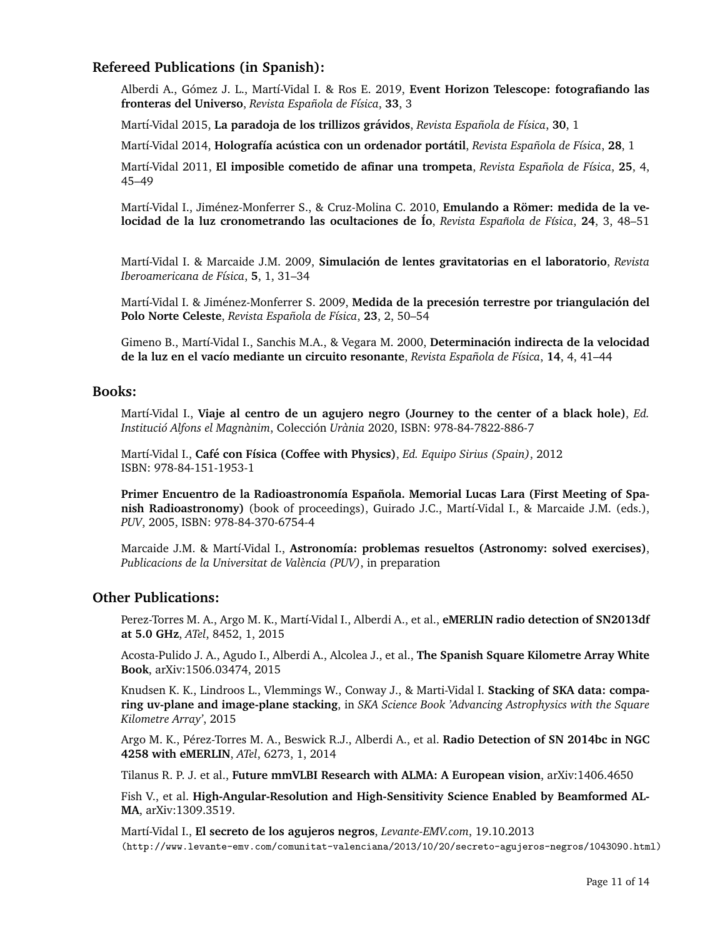# **Refereed Publications (in Spanish):**

Alberdi A., Gómez J. L., Martí-Vidal I. & Ros E. 2019, **Event Horizon Telescope: fotografiando las fronteras del Universo**, *Revista Espanola de F ˜ ´ısica*, **33**, 3

Mart´ı-Vidal 2015, **La paradoja de los trillizos gravidos ´** , *Revista Espanola de F ˜ ´ısica*, **30**, 1

Mart´ı-Vidal 2014, **Holograf´ıa acustica con un ordenador port ´ atil ´** , *Revista Espanola de F ˜ ´ısica*, **28**, 1

Mart´ı-Vidal 2011, **El imposible cometido de afinar una trompeta**, *Revista Espanola de F ˜ ´ısica*, **25**, 4, 45–49

Martí-Vidal I., Jiménez-Monferrer S., & Cruz-Molina C. 2010, **Emulando a Römer: medida de la velocidad de la luz cronometrando las ocultaciones de Ío, Revista Española de Física, 24, 3, 48–51** 

Mart´ı-Vidal I. & Marcaide J.M. 2009, **Simulacion de lentes gravitatorias en el laboratorio ´** , *Revista Iberoamericana de F´ısica*, **5**, 1, 31–34

Martí-Vidal I. & Jiménez-Monferrer S. 2009, **Medida de la precesión terrestre por triangulación del Polo Norte Celeste**, *Revista Española de Física*, 23, 2, 50–54

Gimeno B., Mart´ı-Vidal I., Sanchis M.A., & Vegara M. 2000, **Determinacion indirecta de la velocidad ´ de la luz en el vac´ıo mediante un circuito resonante**, *Revista Espanola de F ˜ ´ısica*, **14**, 4, 41–44

### **Books:**

Martí-Vidal I., Viaje al centro de un agujero negro (Journey to the center of a black hole), *Ed. Institucio Alfons el Magn ´ anim `* , Coleccion´ *Urania `* 2020, ISBN: 978-84-7822-886-7

Mart´ı-Vidal I., **Cafe con F ´ ´ısica (Coffee with Physics)**, *Ed. Equipo Sirius (Spain)*, 2012 ISBN: 978-84-151-1953-1

**Primer Encuentro de la Radioastronomía Española. Memorial Lucas Lara (First Meeting of Spanish Radioastronomy**) (book of proceedings), Guirado J.C., Martí-Vidal I., & Marcaide J.M. (eds.), *PUV*, 2005, ISBN: 978-84-370-6754-4

Marcaide J.M. & Martí-Vidal I., Astronomía: problemas resueltos (Astronomy: solved exercises), *Publicacions de la Universitat de Val`encia (PUV)*, in preparation

## **Other Publications:**

Perez-Torres M. A., Argo M. K., Martí-Vidal I., Alberdi A., et al., **eMERLIN radio detection of SN2013df at 5.0 GHz**, *ATel*, 8452, 1, 2015

Acosta-Pulido J. A., Agudo I., Alberdi A., Alcolea J., et al., **The Spanish Square Kilometre Array White Book**, arXiv:1506.03474, 2015

Knudsen K. K., Lindroos L., Vlemmings W., Conway J., & Marti-Vidal I. **Stacking of SKA data: comparing uv-plane and image-plane stacking**, in *SKA Science Book 'Advancing Astrophysics with the Square Kilometre Array'*, 2015

Argo M. K., Pérez-Torres M. A., Beswick R.J., Alberdi A., et al. **Radio Detection of SN 2014bc in NGC 4258 with eMERLIN**, *ATel*, 6273, 1, 2014

Tilanus R. P. J. et al., **Future mmVLBI Research with ALMA: A European vision**, arXiv:1406.4650

Fish V., et al. **High-Angular-Resolution and High-Sensitivity Science Enabled by Beamformed AL-MA**, arXiv:1309.3519.

Mart´ı-Vidal I., **El secreto de los agujeros negros**, *Levante-EMV.com*, 19.10.2013 (http://www.levante-emv.com/comunitat-valenciana/2013/10/20/secreto-agujeros-negros/1043090.html)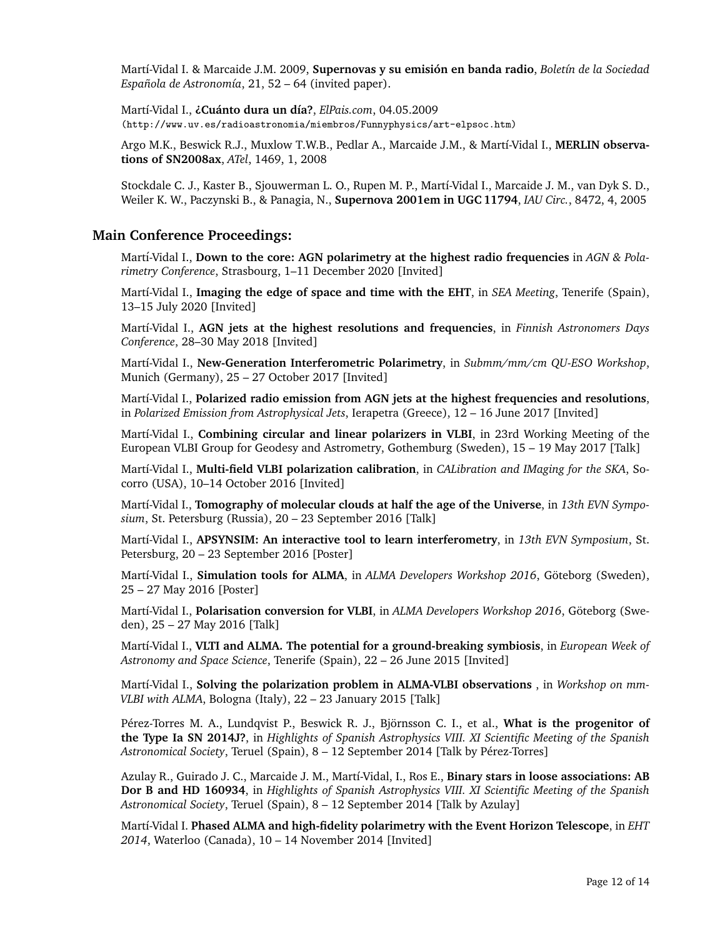Mart´ı-Vidal I. & Marcaide J.M. 2009, **Supernovas y su emision en banda radio ´** , *Bolet´ın de la Sociedad Española de Astronomía*, 21, 52 – 64 (invited paper).

Mart´ı-Vidal I., **¿Cuanto dura un d ´ ´ıa?**, *ElPais.com*, 04.05.2009 (http://www.uv.es/radioastronomia/miembros/Funnyphysics/art-elpsoc.htm)

Argo M.K., Beswick R.J., Muxlow T.W.B., Pedlar A., Marcaide J.M., & Martí-Vidal I., MERLIN observa**tions of SN2008ax**, *ATel*, 1469, 1, 2008

Stockdale C. J., Kaster B., Sjouwerman L. O., Rupen M. P., Martí-Vidal I., Marcaide J. M., van Dyk S. D., Weiler K. W., Paczynski B., & Panagia, N., **Supernova 2001em in UGC 11794**, *IAU Circ.*, 8472, 4, 2005

## **Main Conference Proceedings:**

Martí-Vidal I., **Down to the core: AGN polarimetry at the highest radio frequencies** in AGN & Pola*rimetry Conference*, Strasbourg, 1–11 December 2020 [Invited]

Martí-Vidal I., **Imaging the edge of space and time with the EHT**, in *SEA Meeting*, Tenerife (Spain), 13–15 July 2020 [Invited]

Mart´ı-Vidal I., **AGN jets at the highest resolutions and frequencies**, in *Finnish Astronomers Days Conference*, 28–30 May 2018 [Invited]

Martí-Vidal I., New-Generation Interferometric Polarimetry, in *Submm/mm/cm QU-ESO Workshop*, Munich (Germany), 25 – 27 October 2017 [Invited]

Martí-Vidal I., Polarized radio emission from AGN jets at the highest frequencies and resolutions, in *Polarized Emission from Astrophysical Jets*, Ierapetra (Greece), 12 – 16 June 2017 [Invited]

Marti-Vidal I., **Combining circular and linear polarizers in VLBI**, in 23rd Working Meeting of the European VLBI Group for Geodesy and Astrometry, Gothemburg (Sweden), 15 – 19 May 2017 [Talk]

Martí-Vidal I., Multi-field VLBI polarization calibration, in *CALibration and IMaging for the SKA*, Socorro (USA), 10–14 October 2016 [Invited]

Martí-Vidal I., **Tomography of molecular clouds at half the age of the Universe**, in 13th EVN Sympo*sium*, St. Petersburg (Russia), 20 – 23 September 2016 [Talk]

Martí-Vidal I., **APSYNSIM: An interactive tool to learn interferometry**, in 13th EVN Symposium, St. Petersburg, 20 – 23 September 2016 [Poster]

Martí-Vidal I., Simulation tools for ALMA, in *ALMA Developers Workshop 2016*, Göteborg (Sweden), 25 – 27 May 2016 [Poster]

Martí-Vidal I., Polarisation conversion for VLBI, in *ALMA Developers Workshop 2016*, Göteborg (Sweden), 25 – 27 May 2016 [Talk]

Mart´ı-Vidal I., **VLTI and ALMA. The potential for a ground-breaking symbiosis**, in *European Week of Astronomy and Space Science*, Tenerife (Spain), 22 – 26 June 2015 [Invited]

Martí-Vidal I., **Solving the polarization problem in ALMA-VLBI observations**, in *Workshop on mm*-*VLBI with ALMA*, Bologna (Italy), 22 – 23 January 2015 [Talk]

Pérez-Torres M. A., Lundqvist P., Beswick R. J., Björnsson C. I., et al., **What is the progenitor of the Type Ia SN 2014J?**, in *Highlights of Spanish Astrophysics VIII. XI Scientific Meeting of the Spanish* Astronomical Society, Teruel (Spain), 8 - 12 September 2014 [Talk by Pérez-Torres]

Azulay R., Guirado J. C., Marcaide J. M., Mart´ı-Vidal, I., Ros E., **Binary stars in loose associations: AB Dor B and HD 160934**, in *Highlights of Spanish Astrophysics VIII. XI Scientific Meeting of the Spanish Astronomical Society*, Teruel (Spain), 8 – 12 September 2014 [Talk by Azulay]

Mart´ı-Vidal I. **Phased ALMA and high-fidelity polarimetry with the Event Horizon Telescope**, in *EHT 2014*, Waterloo (Canada), 10 – 14 November 2014 [Invited]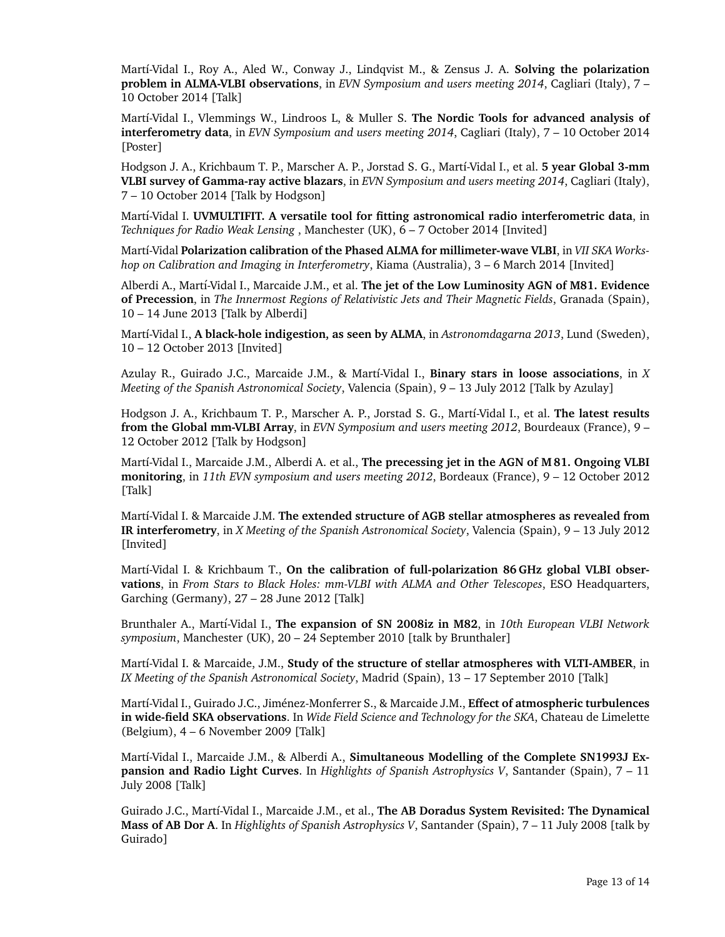Martí-Vidal I., Roy A., Aled W., Conway J., Lindqvist M., & Zensus J. A. **Solving the polarization problem in ALMA-VLBI observations**, in *EVN Symposium and users meeting 2014*, Cagliari (Italy), 7 – 10 October 2014 [Talk]

Martí-Vidal I., Vlemmings W., Lindroos L, & Muller S. **The Nordic Tools for advanced analysis of interferometry data**, in *EVN Symposium and users meeting 2014*, Cagliari (Italy), 7 – 10 October 2014 [Poster]

Hodgson J. A., Krichbaum T. P., Marscher A. P., Jorstad S. G., Mart´ı-Vidal I., et al. **5 year Global 3-mm VLBI survey of Gamma-ray active blazars**, in *EVN Symposium and users meeting 2014*, Cagliari (Italy), 7 – 10 October 2014 [Talk by Hodgson]

Martí-Vidal I. UVMULTIFIT. A versatile tool for fitting astronomical radio interferometric data, in *Techniques for Radio Weak Lensing* , Manchester (UK), 6 – 7 October 2014 [Invited]

Martí-Vidal Polarization calibration of the Phased ALMA for millimeter-wave VLBI, in VII SKA Works*hop on Calibration and Imaging in Interferometry*, Kiama (Australia), 3 – 6 March 2014 [Invited]

Alberdi A., Mart´ı-Vidal I., Marcaide J.M., et al. **The jet of the Low Luminosity AGN of M81. Evidence of Precession**, in *The Innermost Regions of Relativistic Jets and Their Magnetic Fields*, Granada (Spain), 10 – 14 June 2013 [Talk by Alberdi]

Martí-Vidal I., **A black-hole indigestion, as seen by ALMA**, in *Astronomdagarna 2013*, Lund (Sweden), 10 – 12 October 2013 [Invited]

Azulay R., Guirado J.C., Marcaide J.M., & Mart´ı-Vidal I., **Binary stars in loose associations**, in *X Meeting of the Spanish Astronomical Society*, Valencia (Spain), 9 – 13 July 2012 [Talk by Azulay]

Hodgson J. A., Krichbaum T. P., Marscher A. P., Jorstad S. G., Martí-Vidal I., et al. The latest results **from the Global mm-VLBI Array**, in *EVN Symposium and users meeting 2012*, Bourdeaux (France), 9 – 12 October 2012 [Talk by Hodgson]

Martí-Vidal I., Marcaide J.M., Alberdi A. et al., **The precessing jet in the AGN of M 81. Ongoing VLBI monitoring**, in *11th EVN symposium and users meeting 2012*, Bordeaux (France), 9 – 12 October 2012 [Talk]

Mart´ı-Vidal I. & Marcaide J.M. **The extended structure of AGB stellar atmospheres as revealed from IR interferometry**, in *X Meeting of the Spanish Astronomical Society*, Valencia (Spain), 9 – 13 July 2012 [Invited]

Martí-Vidal I. & Krichbaum T., On the calibration of full-polarization 86 GHz global VLBI obser**vations**, in *From Stars to Black Holes: mm-VLBI with ALMA and Other Telescopes*, ESO Headquarters, Garching (Germany), 27 – 28 June 2012 [Talk]

Brunthaler A., Martí-Vidal I., The expansion of SN 2008iz in M82, in 10th European VLBI Network *symposium*, Manchester (UK), 20 – 24 September 2010 [talk by Brunthaler]

Martí-Vidal I. & Marcaide, J.M., Study of the structure of stellar atmospheres with VLTI-AMBER, in *IX Meeting of the Spanish Astronomical Society*, Madrid (Spain), 13 – 17 September 2010 [Talk]

Martí-Vidal I., Guirado J.C., Jiménez-Monferrer S., & Marcaide J.M., **Effect of atmospheric turbulences in wide-field SKA observations**. In *Wide Field Science and Technology for the SKA*, Chateau de Limelette (Belgium), 4 – 6 November 2009 [Talk]

Martí-Vidal I., Marcaide J.M., & Alberdi A., Simultaneous Modelling of the Complete SN1993J Ex**pansion and Radio Light Curves**. In *Highlights of Spanish Astrophysics V*, Santander (Spain), 7 – 11 July 2008 [Talk]

Guirado J.C., Mart´ı-Vidal I., Marcaide J.M., et al., **The AB Doradus System Revisited: The Dynamical Mass of AB Dor A**. In *Highlights of Spanish Astrophysics V*, Santander (Spain), 7 – 11 July 2008 [talk by Guirado]